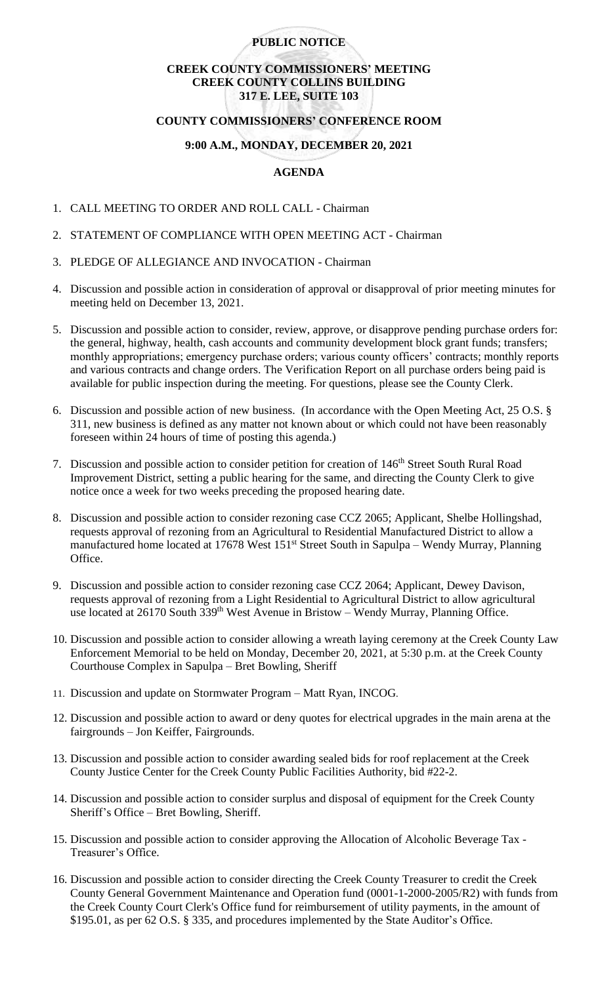### **PUBLIC NOTICE**

## **CREEK COUNTY COMMISSIONERS' MEETING CREEK COUNTY COLLINS BUILDING 317 E. LEE, SUITE 103**

### **COUNTY COMMISSIONERS' CONFERENCE ROOM**

### **9:00 A.M., MONDAY, DECEMBER 20, 2021**

# **AGENDA**

- 1. CALL MEETING TO ORDER AND ROLL CALL Chairman
- 2. STATEMENT OF COMPLIANCE WITH OPEN MEETING ACT Chairman
- 3. PLEDGE OF ALLEGIANCE AND INVOCATION Chairman
- 4. Discussion and possible action in consideration of approval or disapproval of prior meeting minutes for meeting held on December 13, 2021.
- 5. Discussion and possible action to consider, review, approve, or disapprove pending purchase orders for: the general, highway, health, cash accounts and community development block grant funds; transfers; monthly appropriations; emergency purchase orders; various county officers' contracts; monthly reports and various contracts and change orders. The Verification Report on all purchase orders being paid is available for public inspection during the meeting. For questions, please see the County Clerk.
- 6. Discussion and possible action of new business. (In accordance with the Open Meeting Act, 25 O.S. § 311, new business is defined as any matter not known about or which could not have been reasonably foreseen within 24 hours of time of posting this agenda.)
- 7. Discussion and possible action to consider petition for creation of 146th Street South Rural Road Improvement District, setting a public hearing for the same, and directing the County Clerk to give notice once a week for two weeks preceding the proposed hearing date.
- 8. Discussion and possible action to consider rezoning case CCZ 2065; Applicant, Shelbe Hollingshad, requests approval of rezoning from an Agricultural to Residential Manufactured District to allow a manufactured home located at 17678 West 151<sup>st</sup> Street South in Sapulpa – Wendy Murray, Planning Office.
- 9. Discussion and possible action to consider rezoning case CCZ 2064; Applicant, Dewey Davison, requests approval of rezoning from a Light Residential to Agricultural District to allow agricultural use located at 26170 South 339<sup>th</sup> West Avenue in Bristow – Wendy Murray, Planning Office.
- 10. Discussion and possible action to consider allowing a wreath laying ceremony at the Creek County Law Enforcement Memorial to be held on Monday, December 20, 2021, at 5:30 p.m. at the Creek County Courthouse Complex in Sapulpa – Bret Bowling, Sheriff
- 11. Discussion and update on Stormwater Program Matt Ryan, INCOG.
- 12. Discussion and possible action to award or deny quotes for electrical upgrades in the main arena at the fairgrounds – Jon Keiffer, Fairgrounds.
- 13. Discussion and possible action to consider awarding sealed bids for roof replacement at the Creek County Justice Center for the Creek County Public Facilities Authority, bid #22-2.
- 14. Discussion and possible action to consider surplus and disposal of equipment for the Creek County Sheriff's Office – Bret Bowling, Sheriff.
- 15. Discussion and possible action to consider approving the Allocation of Alcoholic Beverage Tax Treasurer's Office.
- 16. Discussion and possible action to consider directing the Creek County Treasurer to credit the Creek County General Government Maintenance and Operation fund (0001-1-2000-2005/R2) with funds from the Creek County Court Clerk's Office fund for reimbursement of utility payments, in the amount of \$195.01, as per 62 O.S. § 335, and procedures implemented by the State Auditor's Office.